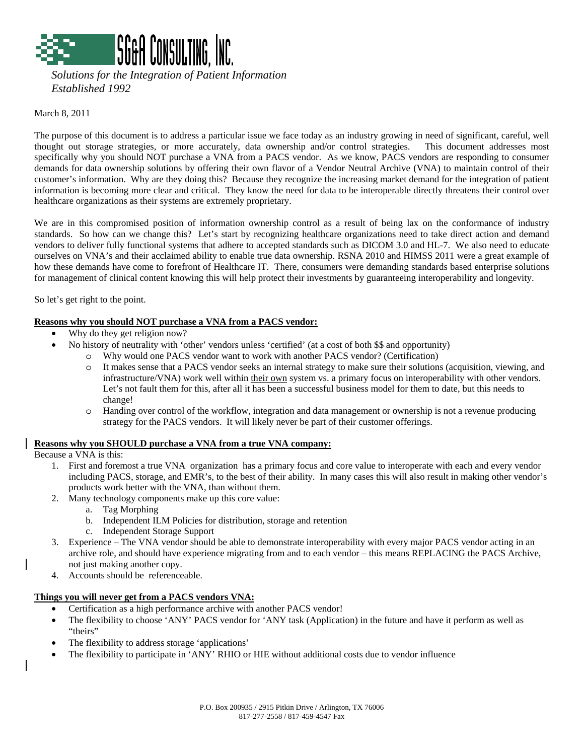

 *Solutions for the Integration of Patient Information Established 1992* 

March 8, 2011

The purpose of this document is to address a particular issue we face today as an industry growing in need of significant, careful, well thought out storage strategies, or more accurately, data ownership and/or control strategies. This document addresses most specifically why you should NOT purchase a VNA from a PACS vendor. As we know, PACS vendors are responding to consumer demands for data ownership solutions by offering their own flavor of a Vendor Neutral Archive (VNA) to maintain control of their customer's information. Why are they doing this? Because they recognize the increasing market demand for the integration of patient information is becoming more clear and critical. They know the need for data to be interoperable directly threatens their control over healthcare organizations as their systems are extremely proprietary.

We are in this compromised position of information ownership control as a result of being lax on the conformance of industry standards. So how can we change this? Let's start by recognizing healthcare organizations need to take direct action and demand vendors to deliver fully functional systems that adhere to accepted standards such as DICOM 3.0 and HL-7. We also need to educate ourselves on VNA's and their acclaimed ability to enable true data ownership. RSNA 2010 and HIMSS 2011 were a great example of how these demands have come to forefront of Healthcare IT. There, consumers were demanding standards based enterprise solutions for management of clinical content knowing this will help protect their investments by guaranteeing interoperability and longevity.

So let's get right to the point.

## **Reasons why you should NOT purchase a VNA from a PACS vendor:**

- Why do they get religion now?
	- No history of neutrality with 'other' vendors unless 'certified' (at a cost of both \$\$ and opportunity)
		- o Why would one PACS vendor want to work with another PACS vendor? (Certification)
			- o It makes sense that a PACS vendor seeks an internal strategy to make sure their solutions (acquisition, viewing, and infrastructure/VNA) work well within their own system vs. a primary focus on interoperability with other vendors. Let's not fault them for this, after all it has been a successful business model for them to date, but this needs to change!
			- o Handing over control of the workflow, integration and data management or ownership is not a revenue producing strategy for the PACS vendors. It will likely never be part of their customer offerings.

## **Reasons why you SHOULD purchase a VNA from a true VNA company:**

Because a VNA is this:

- 1. First and foremost a true VNA organization has a primary focus and core value to interoperate with each and every vendor including PACS, storage, and EMR's, to the best of their ability. In many cases this will also result in making other vendor's products work better with the VNA, than without them.
- 2. Many technology components make up this core value:
	- a. Tag Morphing
	- b. Independent ILM Policies for distribution, storage and retention
	- c. Independent Storage Support
- 3. Experience The VNA vendor should be able to demonstrate interoperability with every major PACS vendor acting in an archive role, and should have experience migrating from and to each vendor – this means REPLACING the PACS Archive, not just making another copy.
- 4. Accounts should be referenceable.

## **Things you will never get from a PACS vendors VNA:**

- Certification as a high performance archive with another PACS vendor!
- The flexibility to choose 'ANY' PACS vendor for 'ANY task (Application) in the future and have it perform as well as "theirs"
- The flexibility to address storage 'applications'
- The flexibility to participate in 'ANY' RHIO or HIE without additional costs due to vendor influence